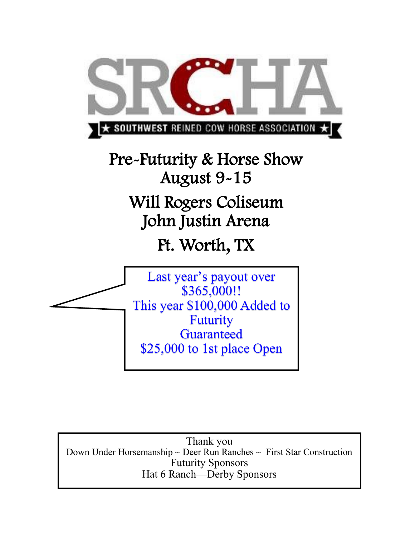

Pre-Futurity & Horse Show August 9-15 Will Rogers Coliseum John Justin Arena Ft. Worth, TX



Thank you Down Under Horsemanship ~ Deer Run Ranches ~ First Star Construction Futurity Sponsors Hat 6 Ranch—Derby Sponsors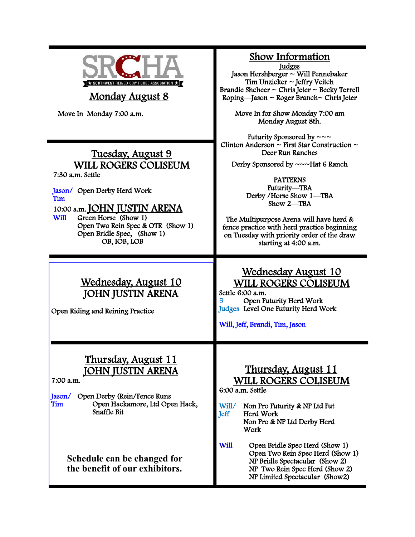

# Monday August 8

Move In Monday 7:00 a.m.

# Tuesday, August 9 WILL ROGERS COLISEUM

7:30 a.m. Settle

Jason/ Open Derby Herd Work Tim

10:00 a.m. **JOHN JUSTIN ARENA**<br>Will Green Horse (Show 1)

Green Horse (Show 1) Open Two Rein Spec & OTR (Show 1) Open Bridle Spec, (Show 1) OB, IOB, LOB

# Wednesday, August 10 JOHN JUSTIN ARENA

Open Riding and Reining Practice

#### Thursday, August 11 **JOHN JUSTIN AREN**

7:00 a.m.

Jason/ Open Derby (Rein/Fence Runs Open Hackamore, Ltd Open Hack, Snaffle Bit

> **Schedule can be changed for the benefit of our exhibitors.**

#### Show Information

Judges

Jason Hershberger ~ Will Pennebaker Tim Unzicker ~ Jeffry Veitch Brandie Shcheer  $\sim$  Chris Jeter  $\sim$  Becky Terrell Roping—Jason ~ Roger Branch~ Chris Jeter

> Move In for Show Monday 7:00 am Monday August 8th.

Futurity Sponsored by  $\sim \sim$ Clinton Anderson  $\sim$  First Star Construction  $\sim$ Deer Run Ranches

Derby Sponsored by ~~~Hat 6 Ranch

PATTERNS Futurity—TBA Derby /Horse Show 1—TBA Show 2—TBA

The Multipurpose Arena will have herd & fence practice with herd practice beginning on Tuesday with priority order of the draw starting at 4:00 a.m.

# Wednesday August 10 WILL ROGERS COLISEUM

Settle 6:00 a.m. 5 Open Futurity Herd Work Judges Level One Futurity Herd Work

Will, Jeff, Brandi, Tim, Jason

# Thursday, August 11 WILL ROGERS COLISEUM

6:00 a.m. Settle

Will/ Non Pro Futurity & NP Ltd Fut Jeff Herd Work Non Pro & NP Ltd Derby Herd Work

Will Open Bridle Spec Herd (Show 1) Open Two Rein Spec Herd (Show 1) NP Bridle Spectacular (Show 2) NP Two Rein Spec Herd (Show 2) NP Limited Spectacular (Show2)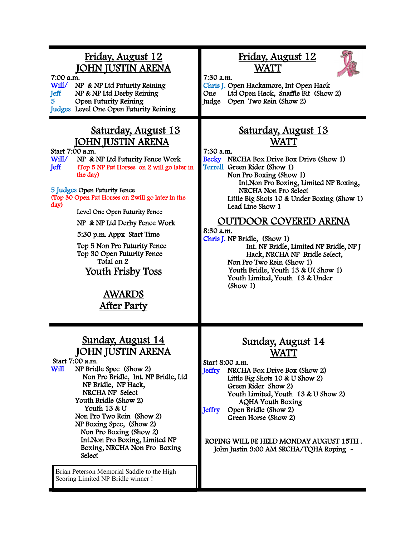# Friday, August 12 JOHN JUSTIN ARENA

7:00 a.m.

Will/ NP & NP Ltd Futurity Reining<br>Jeff NP & NP Ltd Derby Reining NP & NP Ltd Derby Reining 5 Open Futurity Reining Judges Level One Open Futurity Reining

#### Saturday, August 13 JOHN JUSTIN ARENA

Start 7:00 a.m.

Will/ NP & NP Ltd Futurity Fence Work<br>Jeff (Top 5 NP Fut Horses on 2 will go late (Top 5 NP Fut Horses on 2 will go later in the day)

5 Judges Open Futurity Fence

(Top 30 Open Fut Horses on 2will go later in the day)

Level One Open Futurity Fence

NP & NP Ltd Derby Fence Work

5:30 p.m. Appx Start Time

 Top 5 Non Pro Futurity Fence Top 30 Open Futurity Fence Total on 2 Youth Frisby Toss

> AWARDS After Party

#### Sunday, August 14 JOHN JUSTIN ARENA

Start 7:00 a.m.<br>Will NP Brid NP Bridle Spec (Show 2) Non Pro Bridle, Int. NP Bridle, Ltd NP Bridle, NP Hack, NRCHA NP Select Youth Bridle (Show 2) Youth 13 & U Non Pro Two Rein (Show 2) NP Boxing Spec, (Show 2) Non Pro Boxing (Show 2) Int.Non Pro Boxing, Limited NP Boxing, NRCHA Non Pro Boxing **Select** 

Brian Peterson Memorial Saddle to the High Scoring Limited NP Bridle winner !

# Friday, August 12 WATT



7:30 a.m. Chris J. Open Hackamore, Int Open Hack One Ltd Open Hack, Snaffle Bit (Show 2) Judge Open Two Rein (Show 2)

## Saturday, August 13 WATT

7:30 a.m.

Becky NRCHA Box Drive Box Drive (Show 1) Terrell Green Rider (Show 1) Non Pro Boxing (Show 1) Int.Non Pro Boxing, Limited NP Boxing, NRCHA Non Pro Select Little Big Shots 10 & Under Boxing (Show 1) Lead Line Show 1

### OUTDOOR COVERED ARENA

#### 8:30 a.m.

Chris J. NP Bridle, (Show 1) Int. NP Bridle, Limited NP Bridle, NP J Hack, NRCHA NP Bridle Select, Non Pro Two Rein (Show 1) Youth Bridle, Youth 13 & U(Show 1) Youth Limited, Youth 13 & Under (Show 1)

# Sunday, August 14 WATT

Start 8:00 a.m.

Jeffry NRCHA Box Drive Box (Show 2) Little Big Shots 10 & U Show 2) Green Rider Show 2) Youth Limited, Youth 13 & U Show 2) AQHA Youth Boxing<br>Jeffry Open Bridle (Show 2) Open Bridle (Show 2) Green Horse (Show 2)

#### ROPING WILL BE HELD MONDAY AUGUST 15TH . John Justin 9:00 AM SRCHA/TQHA Roping -